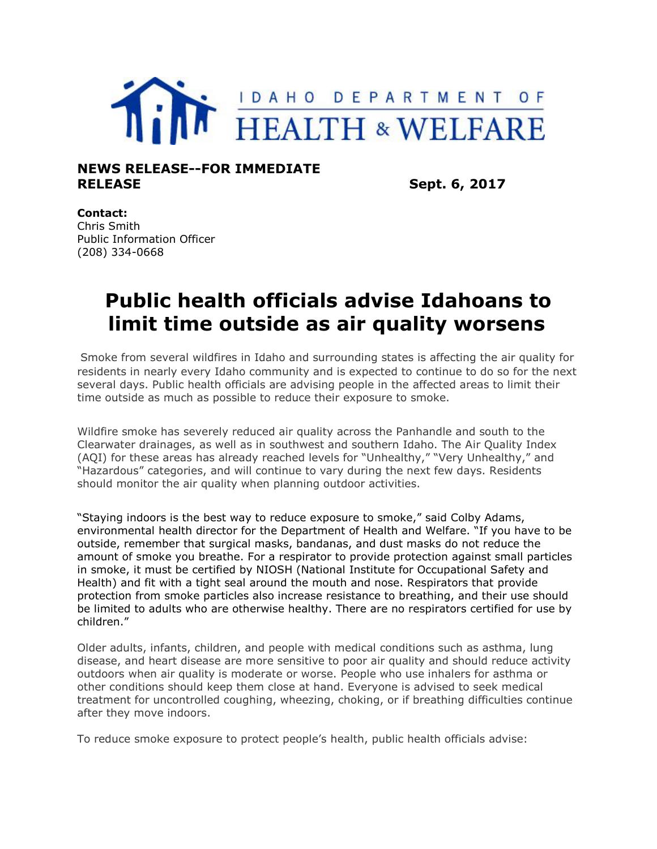

## **NEWS RELEASE--FOR IMMEDIATE RELEASE** Sept. 6, 2017

## **Contact:**

Chris Smith Public Information Officer (208) 334-0668

## **Public health officials advise Idahoans to limit time outside as air quality worsens**

Smoke from several wildfires in Idaho and surrounding states is affecting the air quality for residents in nearly every Idaho community and is expected to continue to do so for the next several days. Public health officials are advising people in the affected areas to limit their time outside as much as possible to reduce their exposure to smoke.

Wildfire smoke has severely reduced air quality across the Panhandle and south to the Clearwater drainages, as well as in southwest and southern Idaho. The Air Quality Index (AQI) for these areas has already reached levels for "Unhealthy," "Very Unhealthy," and "Hazardous" categories, and will continue to vary during the next few days. Residents should monitor the air quality when planning outdoor activities.

"Staying indoors is the best way to reduce exposure to smoke," said Colby Adams, environmental health director for the Department of Health and Welfare. "If you have to be outside, remember that surgical masks, bandanas, and dust masks do not reduce the amount of smoke you breathe. For a respirator to provide protection against small particles in smoke, it must be certified by NIOSH (National Institute for Occupational Safety and Health) and fit with a tight seal around the mouth and nose. Respirators that provide protection from smoke particles also increase resistance to breathing, and their use should be limited to adults who are otherwise healthy. There are no respirators certified for use by children."

Older adults, infants, children, and people with medical conditions such as asthma, lung disease, and heart disease are more sensitive to poor air quality and should reduce activity outdoors when air quality is moderate or worse. People who use inhalers for asthma or other conditions should keep them close at hand. Everyone is advised to seek medical treatment for uncontrolled coughing, wheezing, choking, or if breathing difficulties continue after they move indoors.

To reduce smoke exposure to protect people's health, public health officials advise: